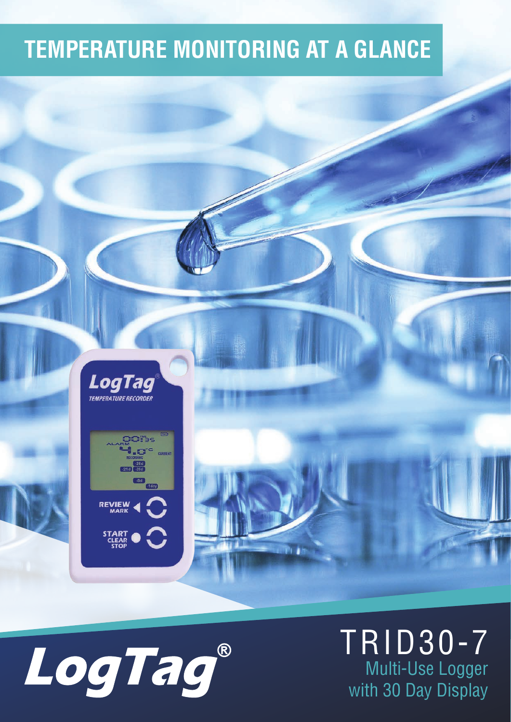### **TEMPERATURE MONITORING AT A GLANCE**









TRID30-7 Multi-Use Logger with 30 Day Display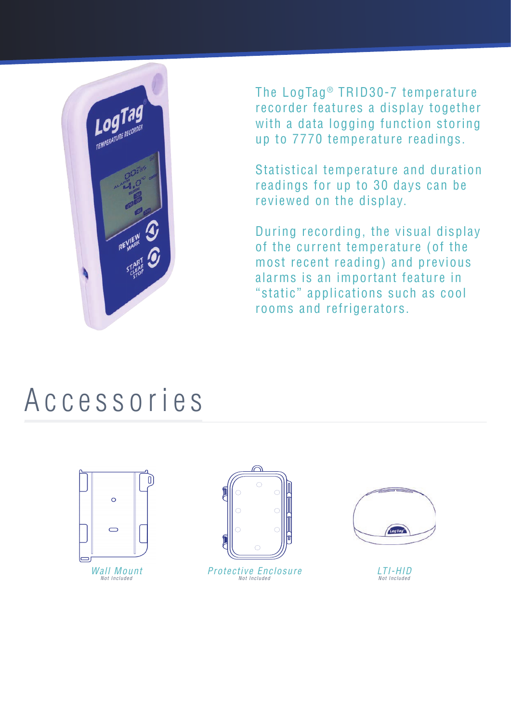

The LogTag<sup>®</sup> TRID30-7 temperature recorder features a display together with a data logging function storing up to 7770 temperature readings.

Statistical temperature and duration readings for up to 30 days can be reviewed on the display.

During recording, the visual display of the current temperature (of the most recent reading) and previous alarms is an important feature in "static" applications such as cool rooms and refrigerators.

### Accessories





Protective Enclosure Not Included



LTI-HID Not Included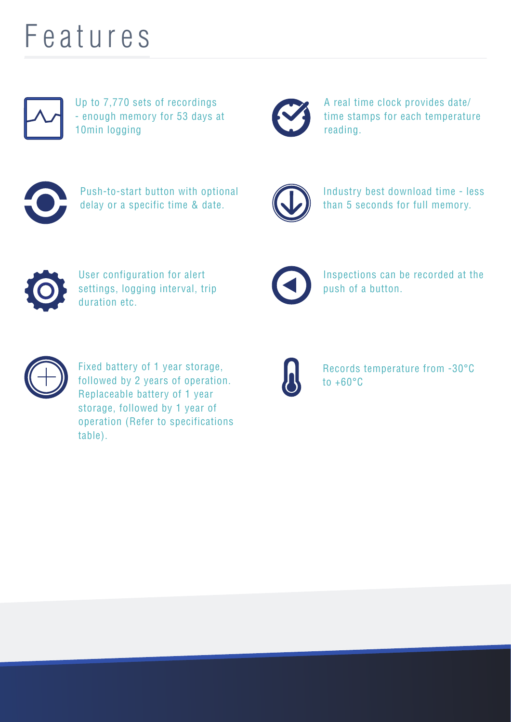## Features

Up to 7,770 sets of recordings - enough memory for 53 days at 10min logging



A real time clock provides date/ time stamps for each temperature reading.



Push-to-start button with optional delay or a specific time & date.



Industry best download time - less than 5 seconds for full memory.



User configuration for alert settings, logging interval, trip duration etc.



Inspections can be recorded at the push of a button.



Fixed battery of 1 year storage, followed by 2 years of operation. Replaceable battery of 1 year storage, followed by 1 year of operation (Refer to specifications table).



Records temperature from -30°C to  $+60^{\circ}$ C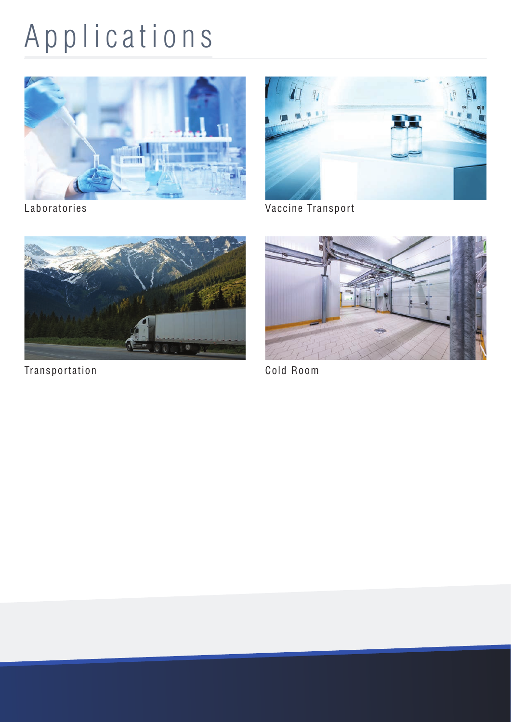# Applications





Laboratories **Vaccine Transport** 



Transportation Cold Room